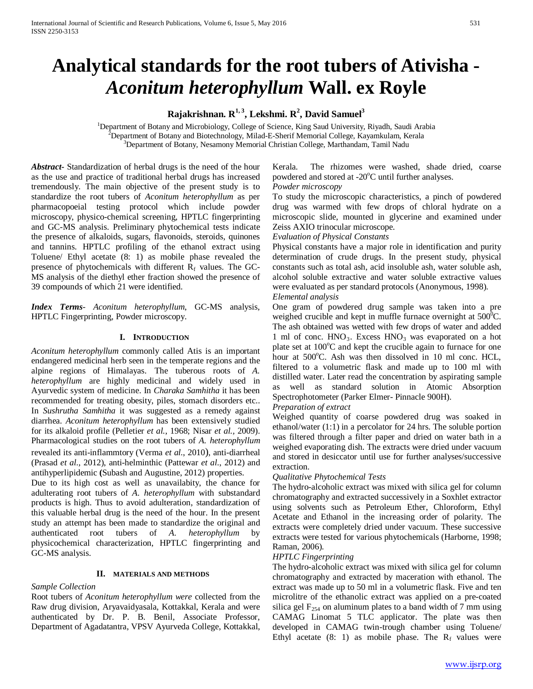# **Analytical standards for the root tubers of Ativisha -** *Aconitum heterophyllum* **Wall. ex Royle**

# $\mathbf{R}$ ajakrishnan.  $\mathbf{R}^{1,\,3}$ , Lekshmi.  $\mathbf{R}^{2},$  David Samuel $^{3}$

<sup>1</sup>Department of Botany and Microbiology, College of Science, King Saud University, Riyadh, Saudi Arabia <sup>2</sup>Department of Botany and Biotechnology, Milad E. Sherif Mamorial College, Kayamkulam, Kerala <sup>2</sup>Department of Botany and Biotechnology, Milad-E-Sherif Memorial College, Kayamkulam, Kerala <sup>3</sup>Department of Botany, Nesamony Memorial Christian College, Marthandam, Tamil Nadu

*Abstract***-** Standardization of herbal drugs is the need of the hour as the use and practice of traditional herbal drugs has increased tremendously. The main objective of the present study is to standardize the root tubers of *Aconitum heterophyllum* as per pharmacopoeial testing protocol which include powder microscopy, physico-chemical screening, HPTLC fingerprinting and GC-MS analysis. Preliminary phytochemical tests indicate the presence of alkaloids, sugars, flavonoids, steroids, quinones and tannins. HPTLC profiling of the ethanol extract using Toluene/ Ethyl acetate (8: 1) as mobile phase revealed the presence of phytochemicals with different  $R_f$  values. The GC-MS analysis of the diethyl ether fraction showed the presence of 39 compounds of which 21 were identified.

*Index Terms*- *Aconitum heterophyllum*, GC-MS analysis, HPTLC Fingerprinting, Powder microscopy.

# **I. INTRODUCTION**

*Aconitum heterophyllum* commonly called Atis is an important endangered medicinal herb seen in the temperate regions and the alpine regions of Himalayas. The tuberous roots of *A. heterophyllum* are highly medicinal and widely used in Ayurvedic system of medicine. In *Charaka Samhitha* it has been recommended for treating obesity, piles, stomach disorders etc.. In *Sushrutha Samhitha* it was suggested as a remedy against diarrhea. *Aconitum heterophyllum* has been extensively studied for its alkaloid profile (Pelletier *et al.*, 1968; Nisar *et al.,* 2009). Pharmacological studies on the root tubers of *A. heterophyllum* revealed its anti-inflammtory (Verma *et al.*, 2010), anti-diarrheal (Prasad *et al*., 2012), anti-helminthic (Pattewar *et al*., 2012) and antihyperlipidemic **(**Subash and Augustine, 2012) properties.

Due to its high cost as well as unavailabity, the chance for adulterating root tubers of *A. heterophyllum* with substandard products is high. Thus to avoid adulteration, standardization of this valuable herbal drug is the need of the hour. In the present study an attempt has been made to standardize the original and authenticated root tubers of *A. heterophyllum* by physicochemical characterization, HPTLC fingerprinting and GC-MS analysis.

#### **II. MATERIALS AND METHODS**

#### *Sample Collection*

Root tubers of *Aconitum heterophyllum were* collected from the Raw drug division, Aryavaidyasala, Kottakkal, Kerala and were authenticated by Dr. P. B. Benil, Associate Professor, Department of Agadatantra, VPSV Ayurveda College, Kottakkal,

#### Kerala. The rhizomes were washed, shade dried, coarse powdered and stored at -20°C until further analyses. *Powder microscopy*

To study the microscopic characteristics, a pinch of powdered drug was warmed with few drops of chloral hydrate on a microscopic slide, mounted in glycerine and examined under Zeiss AXIO trinocular microscope.

# *Evaluation of Physical Constants*

Physical constants have a major role in identification and purity determination of crude drugs. In the present study, physical constants such as total ash, acid insoluble ash, water soluble ash, alcohol soluble extractive and water soluble extractive values were evaluated as per standard protocols (Anonymous, 1998).

# *Elemental analysis*

One gram of powdered drug sample was taken into a pre weighed crucible and kept in muffle furnace overnight at  $500^{\circ}$ C. The ash obtained was wetted with few drops of water and added 1 ml of conc.  $HNO<sub>3</sub>$ . Excess  $HNO<sub>3</sub>$  was evaporated on a hot plate set at 100°C and kept the crucible again to furnace for one hour at 500°C. Ash was then dissolved in 10 ml conc. HCL, filtered to a volumetric flask and made up to 100 ml with distilled water. Later read the concentration by aspirating sample as well as standard solution in Atomic Absorption Spectrophotometer (Parker Elmer- Pinnacle 900H).

# *Preparation of extract*

Weighed quantity of coarse powdered drug was soaked in ethanol/water (1:1) in a percolator for 24 hrs. The soluble portion was filtered through a filter paper and dried on water bath in a weighed evaporating dish. The extracts were dried under vacuum and stored in desiccator until use for further analyses/successive extraction.

# *Qualitative Phytochemical Tests*

The hydro-alcoholic extract was mixed with silica gel for column chromatography and extracted successively in a Soxhlet extractor using solvents such as Petroleum Ether, Chloroform, Ethyl Acetate and Ethanol in the increasing order of polarity. The extracts were completely dried under vacuum. These successive extracts were tested for various phytochemicals (Harborne, 1998; Raman, 2006).

#### *HPTLC Fingerprinting*

The hydro-alcoholic extract was mixed with silica gel for column chromatography and extracted by maceration with ethanol. The extract was made up to 50 ml in a volumetric flask. Five and ten microlitre of the ethanolic extract was applied on a pre-coated silica gel  $F_{254}$  on aluminum plates to a band width of 7 mm using CAMAG Linomat 5 TLC applicator. The plate was then developed in CAMAG twin-trough chamber using Toluene/ Ethyl acetate  $(8: 1)$  as mobile phase. The  $R_f$  values were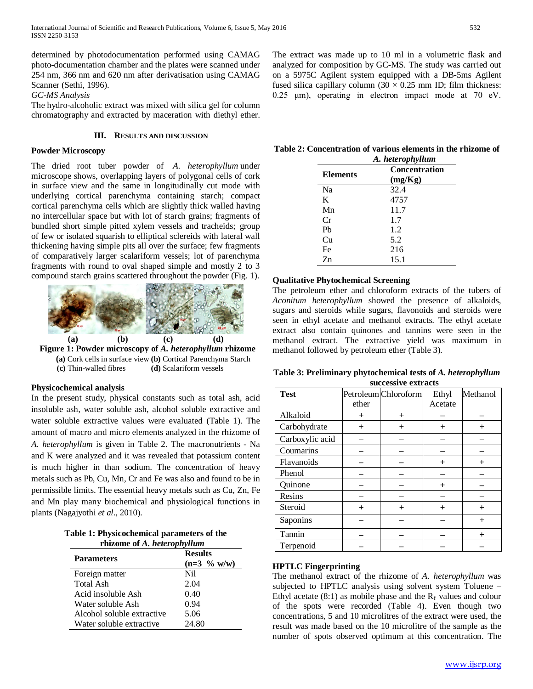determined by photodocumentation performed using CAMAG photo-documentation chamber and the plates were scanned under 254 nm, 366 nm and 620 nm after derivatisation using CAMAG Scanner (Sethi, 1996).

*GC-MS Analysis*

The hydro-alcoholic extract was mixed with silica gel for column chromatography and extracted by maceration with diethyl ether.

#### **III. RESULTS AND DISCUSSION**

#### **Powder Microscopy**

The dried root tuber powder of *A. heterophyllum* under microscope shows, overlapping layers of polygonal cells of cork in surface view and the same in longitudinally cut mode with underlying cortical parenchyma containing starch; compact cortical parenchyma cells which are slightly thick walled having no intercellular space but with lot of starch grains; fragments of bundled short simple pitted xylem vessels and tracheids; group of few or isolated squarish to elliptical sclereids with lateral wall thickening having simple pits all over the surface; few fragments of comparatively larger scalariform vessels; lot of parenchyma fragments with round to oval shaped simple and mostly 2 to 3 compound starch grains scattered throughout the powder (Fig. 1).



#### **Physicochemical analysis**

In the present study, physical constants such as total ash, acid insoluble ash, water soluble ash, alcohol soluble extractive and water soluble extractive values were evaluated (Table 1). The amount of macro and micro elements analyzed in the rhizome of *A. heterophyllum* is given in Table 2. The macronutrients - Na and K were analyzed and it was revealed that potassium content is much higher in than sodium. The concentration of heavy metals such as Pb, Cu, Mn, Cr and Fe was also and found to be in permissible limits. The essential heavy metals such as Cu, Zn, Fe and Mn play many biochemical and physiological functions in plants (Nagajyothi *et al*., 2010).

| Table 1: Physicochemical parameters of the |  |
|--------------------------------------------|--|
| rhizome of A. heterophyllum                |  |

| <b>Parameters</b>          | <b>Results</b><br>$(n=3 \frac{9}{6} \text{ w/w})$ |
|----------------------------|---------------------------------------------------|
| Foreign matter             | Nil                                               |
| Total Ash                  | 2.04                                              |
| Acid insoluble Ash         | 0.40                                              |
| Water soluble Ash          | 0.94                                              |
| Alcohol soluble extractive | 5.06                                              |
| Water soluble extractive   | 24.80                                             |

The extract was made up to 10 ml in a volumetric flask and analyzed for composition by GC-MS. The study was carried out on a 5975C Agilent system equipped with a DB-5ms Agilent fused silica capillary column  $(30 \times 0.25 \text{ mm} \text{ ID}; \text{ film thickness})$ : 0.25 μm), operating in electron impact mode at 70 eV.

**Table 2: Concentration of various elements in the rhizome of** 

| A. heterophyllum |                          |  |
|------------------|--------------------------|--|
| <b>Elements</b>  | Concentration<br>(mg/Kg) |  |
| Na               | 32.4                     |  |
| K                | 4757                     |  |
| Mn               | 11.7                     |  |
| Cr               | 1.7                      |  |
| Ph               | 1.2                      |  |
| Cu               | 5.2                      |  |
| Fe               | 216                      |  |
| $Z_{n}$          | 15.1                     |  |

# **Qualitative Phytochemical Screening**

The petroleum ether and chloroform extracts of the tubers of *Aconitum heterophyllum* showed the presence of alkaloids, sugars and steroids while sugars, flavonoids and steroids were seen in ethyl acetate and methanol extracts. The ethyl acetate extract also contain quinones and tannins were seen in the methanol extract. The extractive yield was maximum in methanol followed by petroleum ether (Table 3).

**Table 3: Preliminary phytochemical tests of** *A. heterophyllum*  **successive extracts**

| <b>Test</b>     | ether     | Petroleum Chloroform | Ethyl<br>Acetate | Methanol  |
|-----------------|-----------|----------------------|------------------|-----------|
| Alkaloid        | $^{+}$    | $\pm$                |                  |           |
| Carbohydrate    | $^{+}$    |                      | $\pm$            |           |
| Carboxylic acid |           |                      |                  |           |
| Coumarins       |           |                      |                  |           |
| Flavanoids      |           |                      | $\ddot{}$        | $\ddot{}$ |
| Phenol          |           |                      |                  |           |
| Quinone         |           |                      | $\overline{+}$   |           |
| Resins          |           |                      |                  |           |
| Steroid         | $\ddot{}$ | $\mathrm{+}$         | $\overline{+}$   |           |
| Saponins        |           |                      |                  | $^{+}$    |
| Tannin          |           |                      |                  |           |
| Terpenoid       |           |                      |                  |           |

# **HPTLC Fingerprinting**

The methanol extract of the rhizome of *A. heterophyllum* was subjected to HPTLC analysis using solvent system Toluene – Ethyl acetate (8:1) as mobile phase and the  $R_f$  values and colour of the spots were recorded (Table 4). Even though two concentrations, 5 and 10 microlitres of the extract were used, the result was made based on the 10 microlitre of the sample as the number of spots observed optimum at this concentration. The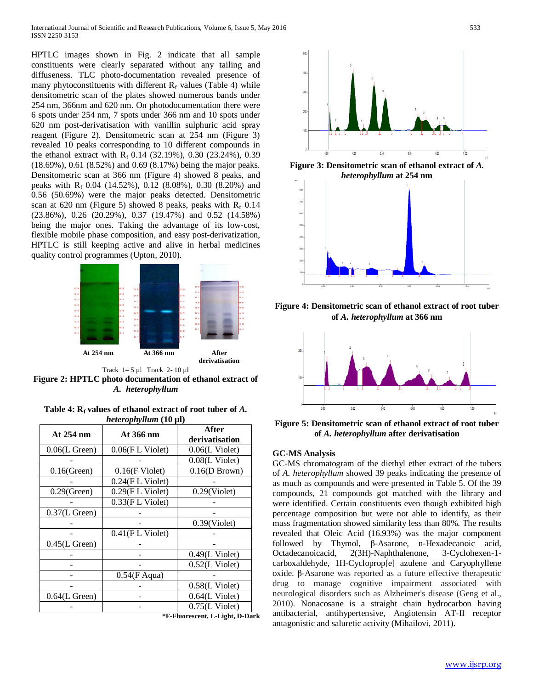HPTLC images shown in Fig. 2 indicate that all sample constituents were clearly separated without any tailing and diffuseness. TLC photo-documentation revealed presence of many phytoconstituents with different  $R_f$  values (Table 4) while densitometric scan of the plates showed numerous bands under 254 nm, 366nm and 620 nm. On photodocumentation there were 6 spots under 254 nm, 7 spots under 366 nm and 10 spots under 620 nm post-derivatisation with vanillin sulphuric acid spray reagent (Figure 2). Densitometric scan at 254 nm (Figure 3) revealed 10 peaks corresponding to 10 different compounds in the ethanol extract with  $R_f$  0.14 (32.19%), 0.30 (23.24%), 0.39 (18.69%), 0.61 (8.52%) and 0.69 (8.17%) being the major peaks. Densitometric scan at 366 nm (Figure 4) showed 8 peaks, and peaks with  $R_f$  0.04 (14.52%), 0.12 (8.08%), 0.30 (8.20%) and 0.56 (50.69%) were the major peaks detected. Densitometric scan at 620 nm (Figure 5) showed 8 peaks, peaks with  $R_f$  0.14 (23.86%), 0.26 (20.29%), 0.37 (19.47%) and 0.52 (14.58%) being the major ones. Taking the advantage of its low-cost, flexible mobile phase composition, and easy post-derivatization, HPTLC is still keeping active and alive in herbal medicines quality control programmes (Upton, 2010).



**Figure 2: HPTLC photo documentation of ethanol extract of**  *A. heterophyllum*

Table 4:  $R_f$  values of ethanol extract of root tuber of  $A$ . *heterophyllum* **(10 µl)**

| At 254 nm        | At 366 nm          | After<br>derivatisation |
|------------------|--------------------|-------------------------|
| $0.06$ (L Green) | 0.06(FL Violet)    | $0.06(L$ Violet)        |
|                  |                    | $0.08(L$ Violet)        |
| $0.16$ (Green)   | $0.16$ (F Violet)  | 0.16(D Brown)           |
|                  | $0.24$ (FL Violet) |                         |
| $0.29$ (Green)   | $0.29$ (FL Violet) | $0.29$ (Violet)         |
|                  | $0.33$ (FL Violet) |                         |
| $0.37$ (L Green) |                    |                         |
|                  |                    | $0.39$ (Violet)         |
|                  | $0.41$ (FL Violet) |                         |
| $0.45$ (L Green) |                    |                         |
|                  |                    | $0.49(L$ Violet)        |
|                  |                    | $0.52(L$ Violet)        |
|                  | $0.54$ (F Aqua)    |                         |
|                  |                    | $0.58(L$ Violet)        |
| $0.64$ (L Green) |                    | $0.64$ (L Violet)       |
|                  |                    | $0.75(L$ Violet)        |

**\*F-Fluorescent, L-Light, D-Dark**



**Figure 3: Densitometric scan of ethanol extract of** *A. heterophyllum* **at 254 nm**



**Figure 4: Densitometric scan of ethanol extract of root tuber of** *A. heterophyllum* **at 366 nm**



**Figure 5: Densitometric scan of ethanol extract of root tuber of** *A. heterophyllum* **after derivatisation**

#### **GC-MS Analysis**

GC-MS chromatogram of the diethyl ether extract of the tubers of *A. heterophyllum* showed 39 peaks indicating the presence of as much as compounds and were presented in Table 5. Of the 39 compounds, 21 compounds got matched with the library and were identified. Certain constituents even though exhibited high percentage composition but were not able to identify, as their mass fragmentation showed similarity less than 80%. The results revealed that Oleic Acid (16.93%) was the major component followed by Thymol, β-Asarone, n-Hexadecanoic acid, Octadecanoicacid, 2(3H)-Naphthalenone, 3-Cyclohexen-1 carboxaldehyde, 1H-Cycloprop[e] azulene and Caryophyllene oxide. β-Asarone was reported as a future effective therapeutic drug to manage cognitive impairment associated with neurological disorders such as Alzheimer's disease (Geng et al., 2010). Nonacosane is a straight chain hydrocarbon having antibacterial, antihypertensive, Angiotensin AT-II receptor antagonistic and saluretic activity (Mihailovi, 2011).